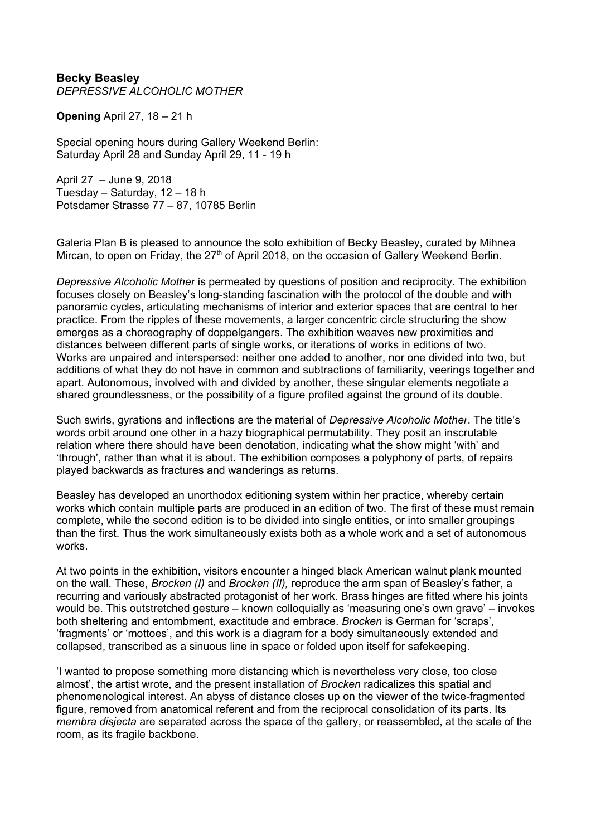**Becky Beasley** *DEPRESSIVE ALCOHOLIC MOTHER*

**Opening** April 27, 18 – 21 h

Special opening hours during Gallery Weekend Berlin: Saturday April 28 and Sunday April 29, 11 - 19 h

April 27 – June 9, 2018 Tuesday – Saturday, 12 – 18 h Potsdamer Strasse 77 – 87, 10785 Berlin

Galeria Plan B is pleased to announce the solo exhibition of Becky Beasley, curated by Mihnea Mircan, to open on Friday, the 27<sup>th</sup> of April 2018, on the occasion of Gallery Weekend Berlin.

*Depressive Alcoholic Mother* is permeated by questions of position and reciprocity. The exhibition focuses closely on Beasley's long-standing fascination with the protocol of the double and with panoramic cycles, articulating mechanisms of interior and exterior spaces that are central to her practice. From the ripples of these movements, a larger concentric circle structuring the show emerges as a choreography of doppelgangers. The exhibition weaves new proximities and distances between different parts of single works, or iterations of works in editions of two. Works are unpaired and interspersed: neither one added to another, nor one divided into two, but additions of what they do not have in common and subtractions of familiarity, veerings together and apart. Autonomous, involved with and divided by another, these singular elements negotiate a shared groundlessness, or the possibility of a figure profiled against the ground of its double.

Such swirls, gyrations and inflections are the material of *Depressive Alcoholic Mother*. The title's words orbit around one other in a hazy biographical permutability. They posit an inscrutable relation where there should have been denotation, indicating what the show might 'with' and 'through', rather than what it is about. The exhibition composes a polyphony of parts, of repairs played backwards as fractures and wanderings as returns.

Beasley has developed an unorthodox editioning system within her practice, whereby certain works which contain multiple parts are produced in an edition of two. The first of these must remain complete, while the second edition is to be divided into single entities, or into smaller groupings than the first. Thus the work simultaneously exists both as a whole work and a set of autonomous works.

At two points in the exhibition, visitors encounter a hinged black American walnut plank mounted on the wall. These, *Brocken (I)* and *Brocken (II),* reproduce the arm span of Beasley's father, a recurring and variously abstracted protagonist of her work. Brass hinges are fitted where his joints would be. This outstretched gesture – known colloquially as 'measuring one's own grave' – invokes both sheltering and entombment, exactitude and embrace. *Brocken* is German for 'scraps', 'fragments' or 'mottoes', and this work is a diagram for a body simultaneously extended and collapsed, transcribed as a sinuous line in space or folded upon itself for safekeeping.

'I wanted to propose something more distancing which is nevertheless very close, too close almost', the artist wrote, and the present installation of *Brocken* radicalizes this spatial and phenomenological interest. An abyss of distance closes up on the viewer of the twice-fragmented figure, removed from anatomical referent and from the reciprocal consolidation of its parts. Its *membra disjecta* are separated across the space of the gallery, or reassembled, at the scale of the room, as its fragile backbone.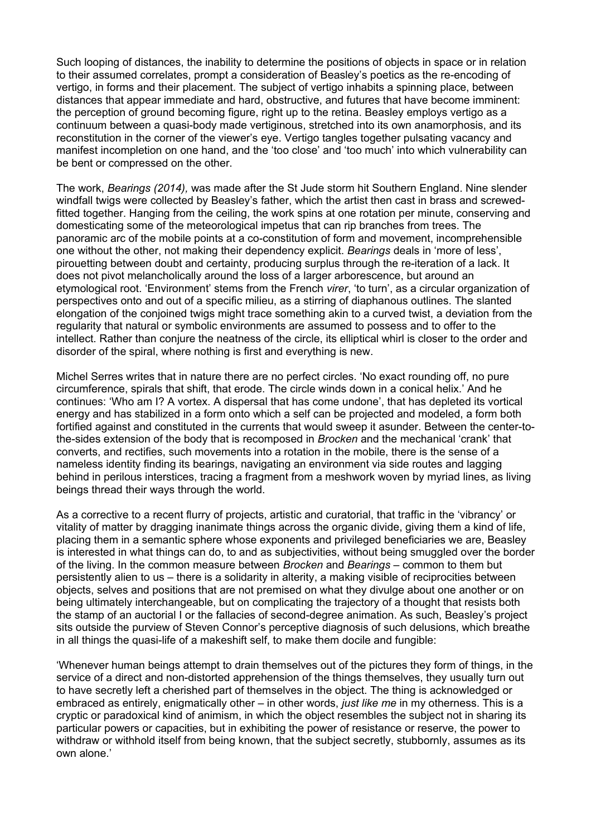Such looping of distances, the inability to determine the positions of objects in space or in relation to their assumed correlates, prompt a consideration of Beasley's poetics as the re-encoding of vertigo, in forms and their placement. The subject of vertigo inhabits a spinning place, between distances that appear immediate and hard, obstructive, and futures that have become imminent: the perception of ground becoming figure, right up to the retina. Beasley employs vertigo as a continuum between a quasi-body made vertiginous, stretched into its own anamorphosis, and its reconstitution in the corner of the viewer's eye. Vertigo tangles together pulsating vacancy and manifest incompletion on one hand, and the 'too close' and 'too much' into which vulnerability can be bent or compressed on the other.

The work, *Bearings (2014),* was made after the St Jude storm hit Southern England. Nine slender windfall twigs were collected by Beasley's father, which the artist then cast in brass and screwedfitted together. Hanging from the ceiling, the work spins at one rotation per minute, conserving and domesticating some of the meteorological impetus that can rip branches from trees. The panoramic arc of the mobile points at a co-constitution of form and movement, incomprehensible one without the other, not making their dependency explicit. *Bearings* deals in 'more of less', pirouetting between doubt and certainty, producing surplus through the re-iteration of a lack. It does not pivot melancholically around the loss of a larger arborescence, but around an etymological root. 'Environment' stems from the French *virer*, 'to turn', as a circular organization of perspectives onto and out of a specific milieu, as a stirring of diaphanous outlines. The slanted elongation of the conjoined twigs might trace something akin to a curved twist, a deviation from the regularity that natural or symbolic environments are assumed to possess and to offer to the intellect. Rather than conjure the neatness of the circle, its elliptical whirl is closer to the order and disorder of the spiral, where nothing is first and everything is new.

Michel Serres writes that in nature there are no perfect circles. 'No exact rounding off, no pure circumference, spirals that shift, that erode. The circle winds down in a conical helix.' And he continues: 'Who am I? A vortex. A dispersal that has come undone', that has depleted its vortical energy and has stabilized in a form onto which a self can be projected and modeled, a form both fortified against and constituted in the currents that would sweep it asunder. Between the center-tothe-sides extension of the body that is recomposed in *Brocken* and the mechanical 'crank' that converts, and rectifies, such movements into a rotation in the mobile, there is the sense of a nameless identity finding its bearings, navigating an environment via side routes and lagging behind in perilous interstices, tracing a fragment from a meshwork woven by myriad lines, as living beings thread their ways through the world.

As a corrective to a recent flurry of projects, artistic and curatorial, that traffic in the 'vibrancy' or vitality of matter by dragging inanimate things across the organic divide, giving them a kind of life, placing them in a semantic sphere whose exponents and privileged beneficiaries we are, Beasley is interested in what things can do, to and as subjectivities, without being smuggled over the border of the living. In the common measure between *Brocken* and *Bearings* – common to them but persistently alien to us – there is a solidarity in alterity, a making visible of reciprocities between objects, selves and positions that are not premised on what they divulge about one another or on being ultimately interchangeable, but on complicating the trajectory of a thought that resists both the stamp of an auctorial I or the fallacies of second-degree animation. As such, Beasley's project sits outside the purview of Steven Connor's perceptive diagnosis of such delusions, which breathe in all things the quasi-life of a makeshift self, to make them docile and fungible:

'Whenever human beings attempt to drain themselves out of the pictures they form of things, in the service of a direct and non-distorted apprehension of the things themselves, they usually turn out to have secretly left a cherished part of themselves in the object. The thing is acknowledged or embraced as entirely, enigmatically other – in other words, *just like me* in my otherness. This is a cryptic or paradoxical kind of animism, in which the object resembles the subject not in sharing its particular powers or capacities, but in exhibiting the power of resistance or reserve, the power to withdraw or withhold itself from being known, that the subject secretly, stubbornly, assumes as its own alone.'